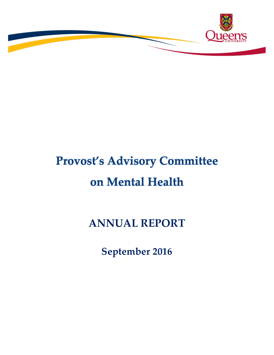

# **Provost's Advisory Committee** on Mental Health

**ANNUAL REPORT**

**September 2016**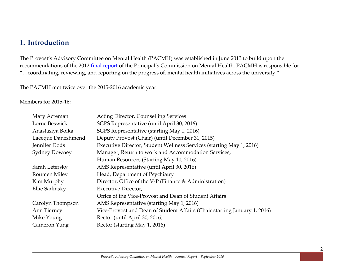## **1. Introduction**

The Provost's Advisory Committee on Mental Health (PACMH) was established in June 2013 to build upon the recommendations of the 2012 final report of the Principal's Commission on Mental Health. PACMH is responsible for "…coordinating, reviewing, and reporting on the progress of, mental health initiatives across the university."

The PACMH met twice over the 2015-2016 academic year.

#### Members for 2015-16:

| Mary Acreman         | <b>Acting Director, Counselling Services</b>                              |
|----------------------|---------------------------------------------------------------------------|
| Lorne Beswick        | SGPS Representative (until April 30, 2016)                                |
| Anastasiya Boika     | SGPS Representative (starting May 1, 2016)                                |
| Laeeque Daneshmend   | Deputy Provost (Chair) (until December 31, 2015)                          |
| Jennifer Dods        | Executive Director, Student Wellness Services (starting May 1, 2016)      |
| <b>Sydney Downey</b> | Manager, Return to work and Accommodation Services,                       |
|                      | Human Resources (Starting May 10, 2016)                                   |
| Sarah Letersky       | AMS Representative (until April 30, 2016)                                 |
| Roumen Milev         | Head, Department of Psychiatry                                            |
| Kim Murphy           | Director, Office of the V-P (Finance & Administration)                    |
| Ellie Sadinsky       | <b>Executive Director,</b>                                                |
|                      | Office of the Vice-Provost and Dean of Student Affairs                    |
| Carolyn Thompson     | AMS Representative (starting May 1, 2016)                                 |
| Ann Tierney          | Vice-Provost and Dean of Student Affairs (Chair starting January 1, 2016) |
| Mike Young           | Rector (until April 30, 2016)                                             |
| Cameron Yung         | Rector (starting May 1, 2016)                                             |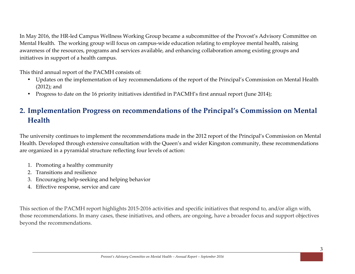In May 2016, the HR-led Campus Wellness Working Group became a subcommittee of the Provost's Advisory Committee on Mental Health. The working group will focus on campus-wide education relating to employee mental health, raising awareness of the resources, programs and services available, and enhancing collaboration among existing groups and initiatives in support of a health campus.

This third annual report of the PACMH consists of:

- Updates on the implementation of key recommendations of the report of the Principal's Commission on Mental Health (2012); and
- Progress to date on the 16 priority initiatives identified in PACMH's first annual report (June 2014);

# **2. Implementation Progress on recommendations of the Principal's Commission on Mental Health**

The university continues to implement the recommendations made in the 2012 report of the Principal's Commission on Mental Health. Developed through extensive consultation with the Queen's and wider Kingston community, these recommendations are organized in a pyramidal structure reflecting four levels of action:

- 1. Promoting a healthy community
- 2. Transitions and resilience
- 3. Encouraging help-seeking and helping behavior
- 4. Effective response, service and care

This section of the PACMH report highlights 2015-2016 activities and specific initiatives that respond to, and/or align with, those recommendations. In many cases, these initiatives, and others, are ongoing, have a broader focus and support objectives beyond the recommendations.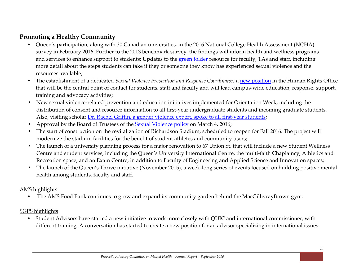## **Promoting a Healthy Community**

- Queen's participation, along with 30 Canadian universities, in the 2016 National College Health Assessment (NCHA) survey in February 2016. Further to the 2013 benchmark survey, the findings will inform health and wellness programs and services to enhance support to students; Updates to the green folder resource for faculty, TAs and staff, including more detail about the steps students can take if they or someone they know has experienced sexual violence and the resources available;
- The establishment of a dedicated *Sexual Violence Prevention and Response Coordinator,* a new position in the Human Rights Office that will be the central point of contact for students, staff and faculty and will lead campus-wide education, response, support, training and advocacy activities;
- New sexual violence-related prevention and education initiatives implemented for Orientation Week, including the distribution of consent and resource information to all first-year undergraduate students and incoming graduate students. Also, visiting scholar Dr. Rachel Griffin, a gender violence expert, spoke to all first-year students;
- Approval by the Board of Trustees of the **Sexual Violence policy on March 4, 2016**;
- The start of construction on the revitalization of Richardson Stadium, scheduled to reopen for Fall 2016. The project will modernize the stadium facilities for the benefit of student athletes and community users;
- The launch of a university planning process for a major renovation to 67 Union St. that will include a new Student Wellness Centre and student services, including the Queen's University International Centre, the multi-faith Chaplaincy, Athletics and Recreation space, and an Exam Centre, in addition to Faculty of Engineering and Applied Science and Innovation spaces;
- The launch of the Queen's Thrive initiative (November 2015), a week-long series of events focused on building positive mental health among students, faculty and staff.

#### AMS highlights

• The AMS Food Bank continues to grow and expand its community garden behind the MacGillivrayBrown gym.

#### SGPS highlights

• Student Advisors have started a new initiative to work more closely with QUIC and international commissioner, with different training. A conversation has started to create a new position for an advisor specializing in international issues.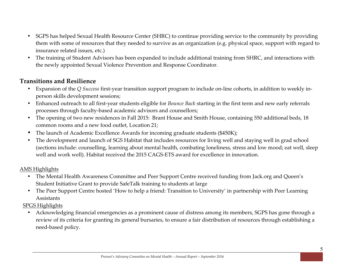- SGPS has helped Sexual Health Resource Center (SHRC) to continue providing service to the community by providing them with some of resources that they needed to survive as an organization (e.g. physical space, support with regard to insurance related issues, etc.)
- The training of Student Advisors has been expanded to include additional training from SHRC, and interactions with the newly appointed Sexual Violence Prevention and Response Coordinator.

## **Transitions and Resilience**

- Expansion of the *Q Success* first-year transition support program to include on-line cohorts, in addition to weekly inperson skills development sessions;
- Enhanced outreach to all first-year students eligible for *Bounce Back* starting in the first term and new early referrals processes through faculty-based academic advisors and counsellors;
- The opening of two new residences in Fall 2015: Brant House and Smith House, containing 550 additional beds, 18 common rooms and a new food outlet, Location 21;
- The launch of Academic Excellence Awards for incoming graduate students (\$450K);
- The development and launch of SGS Habitat that includes resources for living well and staying well in grad school (sections include: counselling, learning about mental health, combating loneliness, stress and low mood; eat well, sleep well and work well). Habitat received the 2015 CAGS-ETS award for excellence in innovation.

#### AMS Highlights

- The Mental Health Awareness Committee and Peer Support Centre received funding from Jack.org and Queen's Student Initiative Grant to provide SafeTalk training to students at large
- The Peer Support Centre hosted 'How to help a friend: Transition to University' in partnership with Peer Learning Assistants

#### SPGS Highlights

• Acknowledging financial emergencies as a prominent cause of distress among its members, SGPS has gone through a review of its criteria for granting its general bursaries, to ensure a fair distribution of resources through establishing a need-based policy.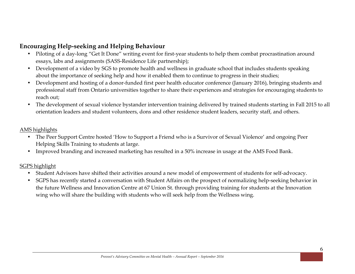## **Encouraging Help-seeking and Helping Behaviour**

- Piloting of a day-long "Get It Done" writing event for first-year students to help them combat procrastination around essays, labs and assignments (SASS-Residence Life partnership);
- Development of a video by SGS to promote health and wellness in graduate school that includes students speaking about the importance of seeking help and how it enabled them to continue to progress in their studies;
- Development and hosting of a donor-funded first peer health educator conference (January 2016), bringing students and professional staff from Ontario universities together to share their experiences and strategies for encouraging students to reach out;
- The development of sexual violence bystander intervention training delivered by trained students starting in Fall 2015 to all orientation leaders and student volunteers, dons and other residence student leaders, security staff, and others.

#### AMS highlights

- The Peer Support Centre hosted 'How to Support a Friend who is a Survivor of Sexual Violence' and ongoing Peer Helping Skills Training to students at large.
- Improved branding and increased marketing has resulted in a 50% increase in usage at the AMS Food Bank.

#### SGPS highlight

- Student Advisors have shifted their activities around a new model of empowerment of students for self-advocacy.
- SGPS has recently started a conversation with Student Affairs on the prospect of normalizing help-seeking behavior in the future Wellness and Innovation Centre at 67 Union St. through providing training for students at the Innovation wing who will share the building with students who will seek help from the Wellness wing.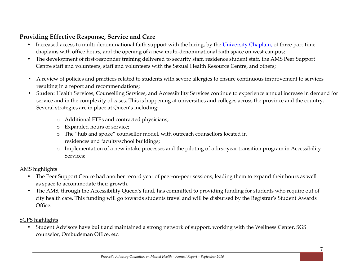## **Providing Effective Response, Service and Care**

- Increased access to multi-denominational faith support with the hiring, by the University Chaplain, of three part-time chaplains with office hours, and the opening of a new multi-denominational faith space on west campus;
- The development of first-responder training delivered to security staff, residence student staff, the AMS Peer Support Centre staff and volunteers, staff and volunteers with the Sexual Health Resource Centre, and others;
- A review of policies and practices related to students with severe allergies to ensure continuous improvement to services resulting in a report and recommendations;
- Student Health Services, Counselling Services, and Accessibility Services continue to experience annual increase in demand for service and in the complexity of cases. This is happening at universities and colleges across the province and the country. Several strategies are in place at Queen's including:
	- o Additional FTEs and contracted physicians;
	- o Expanded hours of service;
	- o The "hub and spoke" counsellor model, with outreach counsellors located in residences and faculty/school buildings;
	- o Implementation of a new intake processes and the piloting of a first-year transition program in Accessibility Services;

#### AMS highlights

- The Peer Support Centre had another record year of peer-on-peer sessions, leading them to expand their hours as well as space to accommodate their growth.
- The AMS, through the Accessibility Queen's fund, has committed to providing funding for students who require out of city health care. This funding will go towards students travel and will be disbursed by the Registrar's Student Awards Office.

#### SGPS highlights

• Student Advisors have built and maintained a strong network of support, working with the Wellness Center, SGS counselor, Ombudsman Office, etc.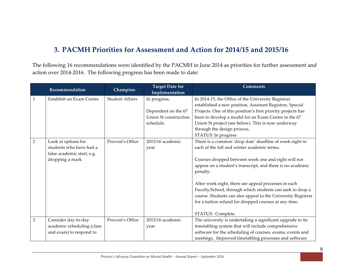## **3. PACMH Priorities for Assessment and Action for 2014/15 and 2015/16**

The following 16 recommendations were identified by the PACMH in June 2014 as priorities for further assessment and action over 2014-2016. The following progress has been made to date:

|                | Recommendation             | Champion               | <b>Target Date for</b>         | <b>Comments</b>                                              |
|----------------|----------------------------|------------------------|--------------------------------|--------------------------------------------------------------|
| $\mathbf{1}$   | Establish an Exam Centre   | <b>Student Affairs</b> | Implementation<br>In progress. | In 2014-15, the Office of the University Registrar           |
|                |                            |                        |                                | established a new position, Assistant Registrar, Special     |
|                |                            |                        | Dependent on the 67            | Projects. One of this position's first priority projects has |
|                |                            |                        | Union St construction          | been to develop a model for an Exam Centre in the 67         |
|                |                            |                        | schedule.                      | Union St project (see below). This is now underway           |
|                |                            |                        |                                | through the design process.                                  |
|                |                            |                        |                                | STATUS: In progress                                          |
| $\overline{2}$ | Look at options for        | Provost's Office       | 2015/16 academic               | There is a common 'drop date' deadline of week eight in      |
|                | students who have had a    |                        | year                           | each of the fall and winter academic terms.                  |
|                | false academic start, e.g. |                        |                                |                                                              |
|                | dropping a mark            |                        |                                | Courses dropped between week one and eight will not          |
|                |                            |                        |                                | appear on a student's transcript, and there is no academic   |
|                |                            |                        |                                | penalty.                                                     |
|                |                            |                        |                                |                                                              |
|                |                            |                        |                                | After week eight, there are appeal processes in each         |
|                |                            |                        |                                | Faculty/School, through which students can seek to drop a    |
|                |                            |                        |                                | course. Students can also appeal to the University Registrar |
|                |                            |                        |                                | for a tuition refund for dropped courses at any time.        |
|                |                            |                        |                                |                                                              |
| $\overline{3}$ |                            |                        |                                | STATUS: Complete                                             |
|                | Consider day-to-day        | Provost's Office       | 2015/16 academic               | The university is undertaking a significant upgrade to its   |
|                | academic scheduling (class |                        | year                           | timetabling system that will include comprehensive           |
|                | and exam) to respond to    |                        |                                | software for the scheduling of courses, exams, events and    |
|                |                            |                        |                                | meetings. Improved timetabling processes and software        |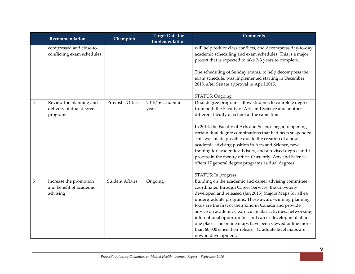|   | Recommendation                                                 | Champion               | <b>Target Date for</b><br>Implementation | <b>Comments</b>                                                                                                                                                                                                                                                                                                                                                                                                                                                                                                                                                                                                  |
|---|----------------------------------------------------------------|------------------------|------------------------------------------|------------------------------------------------------------------------------------------------------------------------------------------------------------------------------------------------------------------------------------------------------------------------------------------------------------------------------------------------------------------------------------------------------------------------------------------------------------------------------------------------------------------------------------------------------------------------------------------------------------------|
|   | compressed and close-to-<br>conflicting exam schedules         |                        |                                          | will help reduce class conflicts, and decompress day-to-day<br>academic scheduling and exam schedules. This is a major<br>project that is expected to take 2-3 years to complete.<br>The scheduling of Sunday exams, to help decompress the<br>exam schedule, was implemented starting in December<br>2015, after Senate approval in April 2015.<br>STATUS: Ongoing                                                                                                                                                                                                                                              |
| 4 | Review the planning and<br>delivery of dual degree<br>programs | Provost's Office       | 2015/16 academic<br>year                 | Dual degree programs allow students to complete degrees<br>from both the Faculty of Arts and Science and another<br>different faculty or school at the same time.<br>In 2014, the Faculty of Arts and Science began reopening<br>certain dual degree combinations that had been suspended.<br>This was made possible due to the creation of a new<br>academic advising position in Arts and Science, new<br>training for academic advisors, and a revised degree audit<br>process in the faculty office. Currently, Arts and Science<br>offers 17 general degree programs as dual degrees<br>STATUS: In progress |
| 5 | Increase the promotion<br>and benefit of academic<br>advising  | <b>Student Affairs</b> | Ongoing                                  | Building on the academic and career advising committee<br>coordinated through Career Services, the university<br>developed and released (Jan 2015) Majors Maps for all 44<br>undergraduate programs. These award-winning planning<br>tools are the first of their kind in Canada and provide<br>advice on academics, extracurricular activities, networking,<br>international opportunities and career development all in<br>one place. The online maps have been viewed online more<br>than 60,000 since their release. Graduate level maps are<br>now in development.                                          |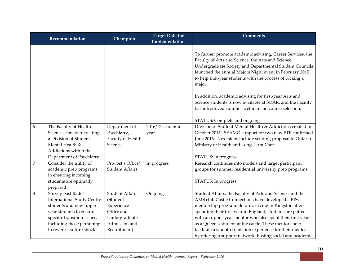|                | Recommendation                                                                                                                                                                                       | Champion                                                                                                         | <b>Target Date for</b><br>Implementation | <b>Comments</b>                                                                                                                                                                                                                                                                                                                                                                                                                                                                         |
|----------------|------------------------------------------------------------------------------------------------------------------------------------------------------------------------------------------------------|------------------------------------------------------------------------------------------------------------------|------------------------------------------|-----------------------------------------------------------------------------------------------------------------------------------------------------------------------------------------------------------------------------------------------------------------------------------------------------------------------------------------------------------------------------------------------------------------------------------------------------------------------------------------|
|                |                                                                                                                                                                                                      |                                                                                                                  |                                          | To further promote academic advising, Career Services, the<br>Faculty of Arts and Science, the Arts and Science<br>Undergraduate Society and Departmental Student Councils<br>launched the annual Majors Night event in February 2015<br>to help first-year students with the process of picking a<br>major.                                                                                                                                                                            |
|                |                                                                                                                                                                                                      |                                                                                                                  |                                          | In addition, academic advising for first-year Arts and<br>Science students is now available at SOAR, and the Faculty<br>has introduced summer webinars on course selection.                                                                                                                                                                                                                                                                                                             |
| 6              | The Faculty of Health<br>Sciences consider creating<br>a Division of Student<br>Mental Health &<br>Addictions within the<br>Department of Psychiatry                                                 | Department of<br>Psychiatry,<br>Faculty of Health<br>Science                                                     | 2016/17 academic<br>year                 | STATUS: Complete and ongoing<br>Division of Student Mental Health & Addictions created in<br>October 2015. SEAMO support for two new FTE confirmed<br>June 2016. Next steps include sending proposal to Ontario<br>Ministry of Health and Long Term Care.<br>STATUS: In progress                                                                                                                                                                                                        |
| $\overline{7}$ | Consider the utility of<br>academic prep programs<br>in ensuring incoming<br>students are optimally<br>prepared                                                                                      | Provost's Office/<br><b>Student Affairs</b>                                                                      | In progress                              | Research continues into models and target participant<br>groups for summer residential university prep programs.<br>STATUS: In progress                                                                                                                                                                                                                                                                                                                                                 |
| 8              | Survey past Bader<br><b>International Study Centre</b><br>students and new upper<br>year students to ensure<br>specific transition issues,<br>including those pertaining<br>to reverse culture shock | <b>Student Affairs</b><br>(Student<br>Experience<br>Office and<br>Undergraduate<br>Admission and<br>Recruitment) | Ongoing                                  | Student Affairs, the Faculty of Arts and Science and the<br>AMS club Castle Connections have developed a BISC<br>mentorship program. Before arriving in Kingston after<br>spending their first year in England, students are paired<br>with an upper-year mentor who also spent their first year<br>as a Queen's student at the castle. These mentors help<br>facilitate a smooth transition experience for their mentees<br>by offering a support network, hosting social and academic |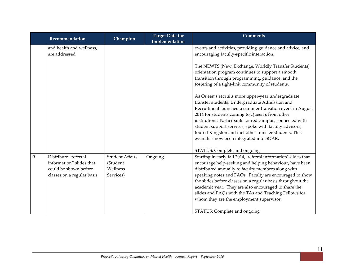|   | Recommendation                                                                                          | Champion                                                    | <b>Target Date for</b><br>Implementation | <b>Comments</b>                                                                                                                                                                                                                                                                                                                                                                                                                                                                                                                         |
|---|---------------------------------------------------------------------------------------------------------|-------------------------------------------------------------|------------------------------------------|-----------------------------------------------------------------------------------------------------------------------------------------------------------------------------------------------------------------------------------------------------------------------------------------------------------------------------------------------------------------------------------------------------------------------------------------------------------------------------------------------------------------------------------------|
|   | and health and wellness,<br>are addressed                                                               |                                                             |                                          | events and activities, providing guidance and advice, and<br>encouraging faculty-specific interaction.                                                                                                                                                                                                                                                                                                                                                                                                                                  |
|   |                                                                                                         |                                                             |                                          | The NEWTS (New, Exchange, Worldly Transfer Students)<br>orientation program continues to support a smooth<br>transition through programming, guidance, and the<br>fostering of a tight-knit community of students.                                                                                                                                                                                                                                                                                                                      |
|   |                                                                                                         |                                                             |                                          | As Queen's recruits more upper-year undergraduate<br>transfer students, Undergraduate Admission and<br>Recruitment launched a summer transition event in August<br>2014 for students coming to Queen's from other<br>institutions. Participants toured campus, connected with<br>student support services, spoke with faculty advisors,<br>toured Kingston and met other transfer students. This<br>event has now been integrated into SOAR.                                                                                            |
| 9 | Distribute "referral<br>information" slides that<br>could be shown before<br>classes on a regular basis | <b>Student Affairs</b><br>(Student<br>Wellness<br>Services) | Ongoing                                  | STATUS: Complete and ongoing<br>Starting in early fall 2014, 'referral information' slides that<br>encourage help-seeking and helping behaviour, have been<br>distributed annually to faculty members along with<br>speaking notes and FAQs. Faculty are encouraged to show<br>the slides before classes on a regular basis throughout the<br>academic year. They are also encouraged to share the<br>slides and FAQs with the TAs and Teaching Fellows for<br>whom they are the employment supervisor.<br>STATUS: Complete and ongoing |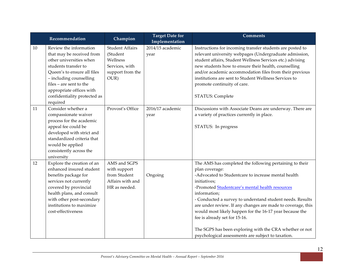|    | Recommendation                                                                                                                                                                                                                                                      | Champion                                                                                     | <b>Target Date for</b><br>Implementation | <b>Comments</b>                                                                                                                                                                                                                                                                                                                                                                                                                                                                                                                                              |
|----|---------------------------------------------------------------------------------------------------------------------------------------------------------------------------------------------------------------------------------------------------------------------|----------------------------------------------------------------------------------------------|------------------------------------------|--------------------------------------------------------------------------------------------------------------------------------------------------------------------------------------------------------------------------------------------------------------------------------------------------------------------------------------------------------------------------------------------------------------------------------------------------------------------------------------------------------------------------------------------------------------|
| 10 | Review the information<br>that may be received from<br>other universities when<br>students transfer to<br>Queen's to ensure all files<br>- including counselling<br>files - are sent to the<br>appropriate offices with<br>confidentiality protected as<br>required | <b>Student Affairs</b><br>(Student<br>Wellness<br>Services, with<br>support from the<br>OUR) | 2014/15 academic<br>year                 | Instructions for incoming transfer students are posted to<br>relevant university webpages (Undergraduate admission,<br>student affairs, Student Wellness Services etc.) advising<br>new students how to ensure their health, counselling<br>and/or academic accommodation files from their previous<br>institutions are sent to Student Wellness Services to<br>promote continuity of care.<br>STATUS: Complete                                                                                                                                              |
| 11 | Consider whether a<br>compassionate waiver<br>process for the academic<br>appeal fee could be<br>developed with strict and<br>standardized criteria that<br>would be applied<br>consistently across the<br>university                                               | Provost's Office                                                                             | 2016/17 academic<br>year                 | Discussions with Associate Deans are underway. There are<br>a variety of practices currently in place.<br>STATUS: In progress                                                                                                                                                                                                                                                                                                                                                                                                                                |
| 12 | Explore the creation of an<br>enhanced insured student<br>benefits package for<br>services not currently<br>covered by provincial<br>health plans, and consult<br>with other post-secondary<br>institutions to maximize<br>cost-effectiveness                       | AMS and SGPS<br>with support<br>from Student<br>Affairs with and<br>HR as needed.            | Ongoing                                  | The AMS has completed the following pertaining to their<br>plan coverage:<br>-Advocated to Studentcare to increase mental health<br>initiatives;<br>-Promoted Studentcare's mental health resources<br>information;<br>- Conducted a survey to understand student needs. Results<br>are under review. If any changes are made to coverage, this<br>would most likely happen for the 16-17 year because the<br>fee is already set for 15-16.<br>The SGPS has been exploring with the CRA whether or not<br>psychological assessments are subject to taxation. |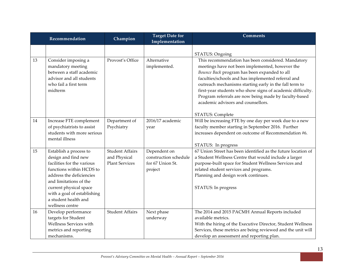|    | Recommendation                                                                                                                                                                                                                                                    | Champion                                                        | <b>Target Date for</b><br>Implementation                             | <b>Comments</b>                                                                                                                                                                                                                                                                                                                                                                                                                                        |
|----|-------------------------------------------------------------------------------------------------------------------------------------------------------------------------------------------------------------------------------------------------------------------|-----------------------------------------------------------------|----------------------------------------------------------------------|--------------------------------------------------------------------------------------------------------------------------------------------------------------------------------------------------------------------------------------------------------------------------------------------------------------------------------------------------------------------------------------------------------------------------------------------------------|
|    |                                                                                                                                                                                                                                                                   |                                                                 |                                                                      | STATUS: Ongoing                                                                                                                                                                                                                                                                                                                                                                                                                                        |
| 13 | Consider imposing a<br>mandatory meeting<br>between a staff academic<br>advisor and all students<br>who fail a first term<br>midterm                                                                                                                              | Provost's Office                                                | Alternative<br>implemented.                                          | This recommendation has been considered. Mandatory<br>meetings have not been implemented, however the<br>Bounce Back program has been expanded to all<br>faculties/schools and has implemented referral and<br>outreach mechanisms starting early in the fall term to<br>first-year students who show signs of academic difficulty.<br>Program referrals are now being made by faculty-based<br>academic advisors and counsellors.<br>STATUS: Complete |
| 14 | Increase FTE complement<br>of psychiatrists to assist<br>students with more serious<br>mental illness                                                                                                                                                             | Department of<br>Psychiatry                                     | 2016/17 academic<br>year                                             | Will be increasing FTE by one day per week due to a new<br>faculty member starting in September 2016. Further<br>increases dependent on outcome of Recommendation #6.<br>STATUS: In progress                                                                                                                                                                                                                                                           |
| 15 | Establish a process to<br>design and find new<br>facilities for the various<br>functions within HCDS to<br>address the deficiencies<br>and limitations of the<br>current physical space<br>with a goal of establishing<br>a student health and<br>wellness centre | <b>Student Affairs</b><br>and Physical<br><b>Plant Services</b> | Dependent on<br>construction schedule<br>for 67 Union St.<br>project | 67 Union Street has been identified as the future location of<br>a Student Wellness Centre that would include a larger<br>purpose-built space for Student Wellness Services and<br>related student services and programs.<br>Planning and design work continues.<br>STATUS: In progress                                                                                                                                                                |
| 16 | Develop performance<br>targets for Student<br>Wellness Services with<br>metrics and reporting<br>mechanisms.                                                                                                                                                      | <b>Student Affairs</b>                                          | Next phase<br>underway                                               | The 2014 and 2015 PACMH Annual Reports included<br>available metrics.<br>With the hiring of the Executive Director, Student Wellness<br>Services, these metrics are being reviewed and the unit will<br>develop an assessment and reporting plan.                                                                                                                                                                                                      |